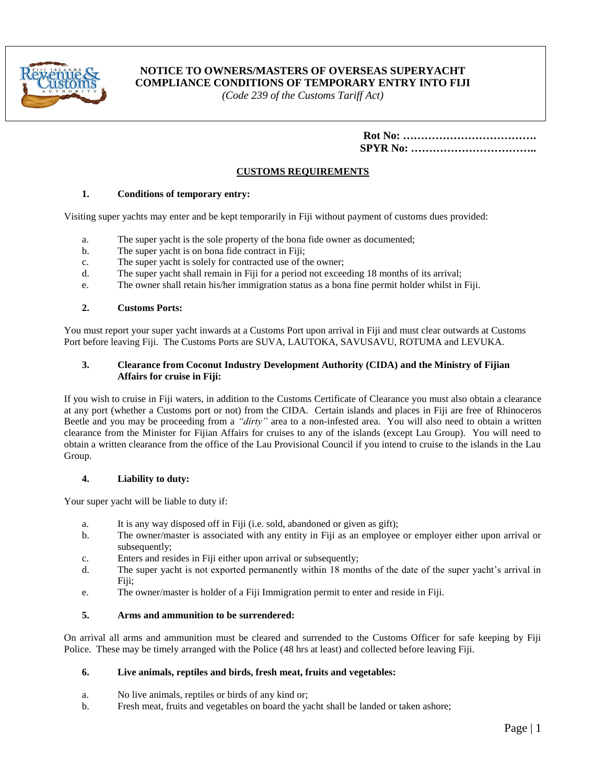

# **NOTICE TO OWNERS/MASTERS OF OVERSEAS SUPERYACHT COMPLIANCE CONDITIONS OF TEMPORARY ENTRY INTO FIJI**

*(Code 239 of the Customs Tariff Act)*

# **CUSTOMS REQUIREMENTS**

## **1. Conditions of temporary entry:**

Visiting super yachts may enter and be kept temporarily in Fiji without payment of customs dues provided:

- a. The super yacht is the sole property of the bona fide owner as documented;
- b. The super yacht is on bona fide contract in Fiji;
- c. The super yacht is solely for contracted use of the owner;
- d. The super yacht shall remain in Fiji for a period not exceeding 18 months of its arrival;
- e. The owner shall retain his/her immigration status as a bona fine permit holder whilst in Fiji.

### **2. Customs Ports:**

You must report your super yacht inwards at a Customs Port upon arrival in Fiji and must clear outwards at Customs Port before leaving Fiji. The Customs Ports are SUVA, LAUTOKA, SAVUSAVU, ROTUMA and LEVUKA.

## **3. Clearance from Coconut Industry Development Authority (CIDA) and the Ministry of Fijian Affairs for cruise in Fiji:**

If you wish to cruise in Fiji waters, in addition to the Customs Certificate of Clearance you must also obtain a clearance at any port (whether a Customs port or not) from the CIDA. Certain islands and places in Fiji are free of Rhinoceros Beetle and you may be proceeding from a *"dirty"* area to a non-infested area. You will also need to obtain a written clearance from the Minister for Fijian Affairs for cruises to any of the islands (except Lau Group). You will need to obtain a written clearance from the office of the Lau Provisional Council if you intend to cruise to the islands in the Lau Group.

## **4. Liability to duty:**

Your super yacht will be liable to duty if:

- a. It is any way disposed off in Fiji (i.e. sold, abandoned or given as gift);
- b. The owner/master is associated with any entity in Fiji as an employee or employer either upon arrival or subsequently:
- c. Enters and resides in Fiji either upon arrival or subsequently;
- d. The super yacht is not exported permanently within 18 months of the date of the super yacht's arrival in Fiji;
- e. The owner/master is holder of a Fiji Immigration permit to enter and reside in Fiji.

### **5. Arms and ammunition to be surrendered:**

On arrival all arms and ammunition must be cleared and surrended to the Customs Officer for safe keeping by Fiji Police. These may be timely arranged with the Police (48 hrs at least) and collected before leaving Fiji.

#### **6. Live animals, reptiles and birds, fresh meat, fruits and vegetables:**

- a. No live animals, reptiles or birds of any kind or;
- b. Fresh meat, fruits and vegetables on board the yacht shall be landed or taken ashore;